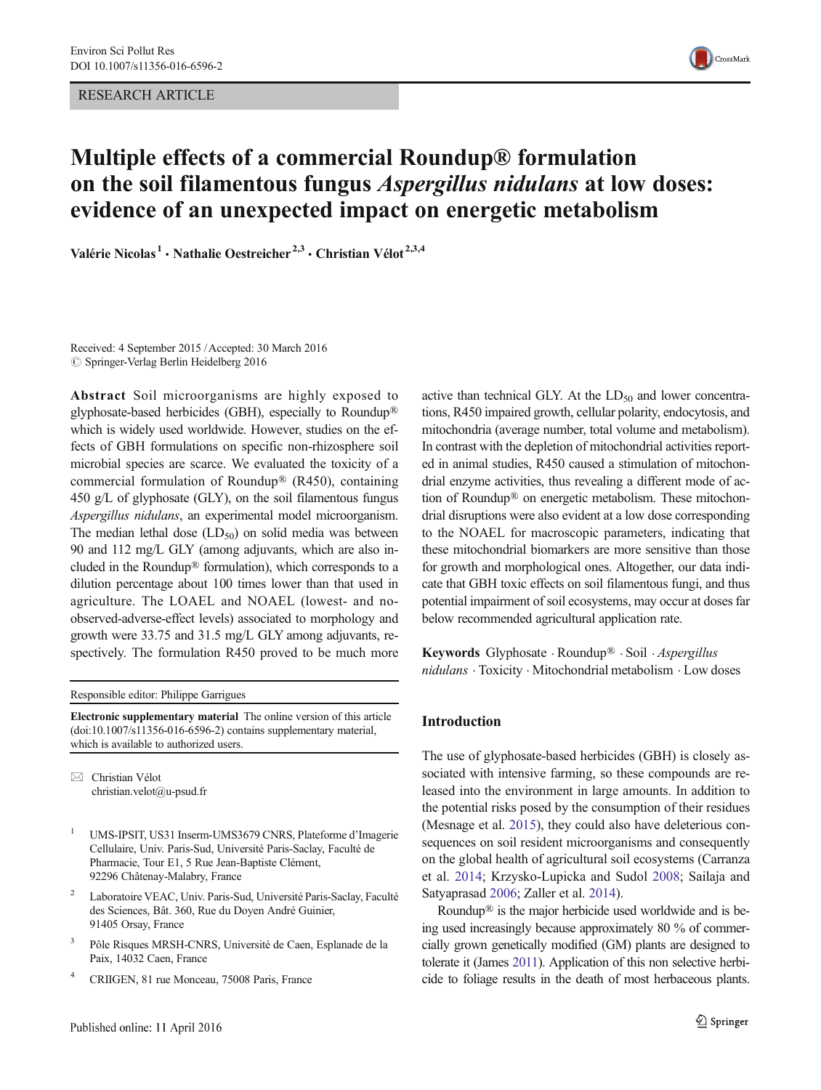RESEARCH ARTICLE



# Multiple effects of a commercial Roundup® formulation on the soil filamentous fungus Aspergillus nidulans at low doses: evidence of an unexpected impact on energetic metabolism

Valérie Nicolas<sup>1</sup> · Nathalie Oestreicher<sup>2,3</sup> · Christian Vélot<sup>2,3,4</sup>

Received: 4 September 2015 /Accepted: 30 March 2016  $\oslash$  Springer-Verlag Berlin Heidelberg 2016

Abstract Soil microorganisms are highly exposed to glyphosate-based herbicides (GBH), especially to Roundup® which is widely used worldwide. However, studies on the effects of GBH formulations on specific non-rhizosphere soil microbial species are scarce. We evaluated the toxicity of a commercial formulation of Roundup® (R450), containing 450 g/L of glyphosate (GLY), on the soil filamentous fungus Aspergillus nidulans, an experimental model microorganism. The median lethal dose  $(LD_{50})$  on solid media was between 90 and 112 mg/L GLY (among adjuvants, which are also included in the Roundup® formulation), which corresponds to a dilution percentage about 100 times lower than that used in agriculture. The LOAEL and NOAEL (lowest- and noobserved-adverse-effect levels) associated to morphology and growth were 33.75 and 31.5 mg/L GLY among adjuvants, respectively. The formulation R450 proved to be much more

Responsible editor: Philippe Garrigues

Electronic supplementary material The online version of this article (doi[:10.1007/s11356-016-6596-2\)](http://dx.doi.org/10.1007/s11356-016-6596-2) contains supplementary material, which is available to authorized users.

 $\boxtimes$  Christian Vélot christian.velot@u-psud.fr

- <sup>1</sup> UMS-IPSIT, US31 Inserm-UMS3679 CNRS, Plateforme d'Imagerie Cellulaire, Univ. Paris-Sud, Université Paris-Saclay, Faculté de Pharmacie, Tour E1, 5 Rue Jean-Baptiste Clément, 92296 Châtenay-Malabry, France
- Laboratoire VEAC, Univ. Paris-Sud, Université Paris-Saclay, Faculté des Sciences, Bât. 360, Rue du Doyen André Guinier, 91405 Orsay, France
- <sup>3</sup> Pôle Risques MRSH-CNRS, Université de Caen, Esplanade de la Paix, 14032 Caen, France
- <sup>4</sup> CRIIGEN, 81 rue Monceau, 75008 Paris, France

active than technical GLY. At the  $LD_{50}$  and lower concentrations, R450 impaired growth, cellular polarity, endocytosis, and mitochondria (average number, total volume and metabolism). In contrast with the depletion of mitochondrial activities reported in animal studies, R450 caused a stimulation of mitochondrial enzyme activities, thus revealing a different mode of action of Roundup® on energetic metabolism. These mitochondrial disruptions were also evident at a low dose corresponding to the NOAEL for macroscopic parameters, indicating that these mitochondrial biomarkers are more sensitive than those for growth and morphological ones. Altogether, our data indicate that GBH toxic effects on soil filamentous fungi, and thus potential impairment of soil ecosystems, may occur at doses far below recommended agricultural application rate.

Keywords Glyphosate . Roundup® . Soil . Aspergillus nidulans . Toxicity . Mitochondrial metabolism . Low doses

## Introduction

The use of glyphosate-based herbicides (GBH) is closely associated with intensive farming, so these compounds are released into the environment in large amounts. In addition to the potential risks posed by the consumption of their residues (Mesnage et al. [2015](#page-11-0)), they could also have deleterious consequences on soil resident microorganisms and consequently on the global health of agricultural soil ecosystems (Carranza et al. [2014;](#page-10-0) Krzysko-Lupicka and Sudol [2008](#page-11-0); Sailaja and Satyaprasad [2006](#page-11-0); Zaller et al. [2014\)](#page-11-0).

Roundup® is the major herbicide used worldwide and is being used increasingly because approximately 80 % of commercially grown genetically modified (GM) plants are designed to tolerate it (James [2011](#page-10-0)). Application of this non selective herbicide to foliage results in the death of most herbaceous plants.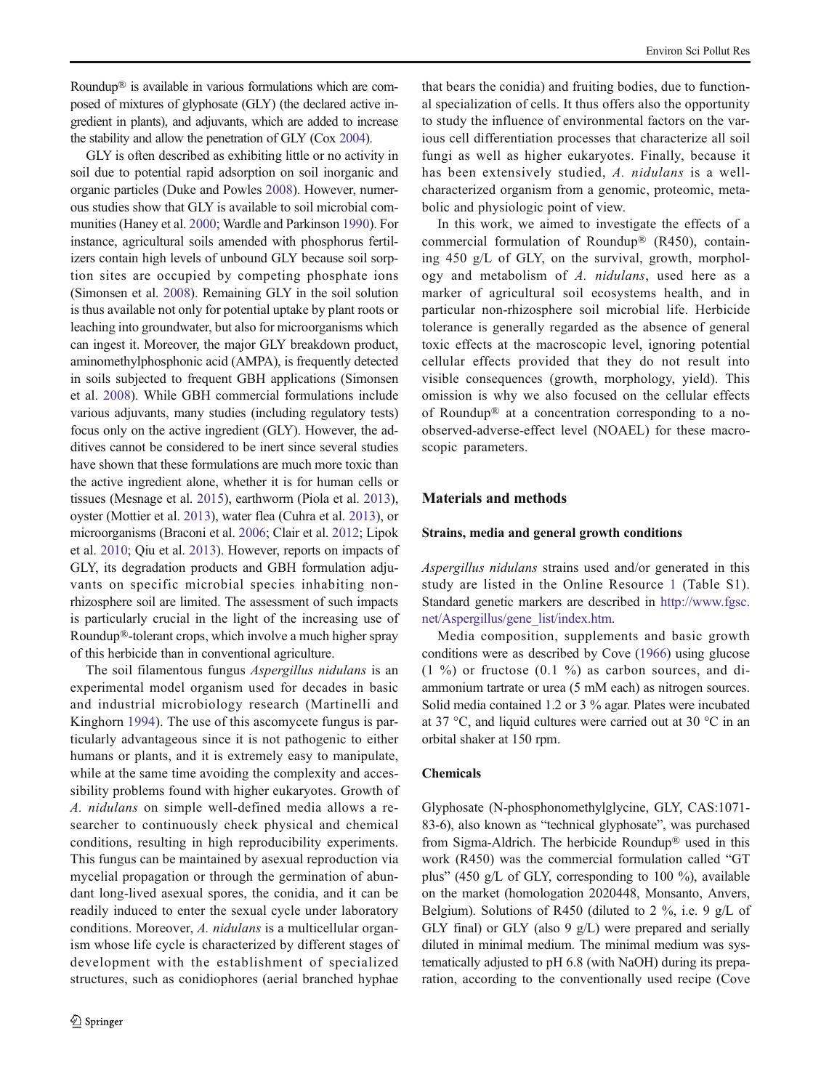Roundup® is available in various formulations which are composed of mixtures of glyphosate (GLY) (the declared active ingredient in plants), and adjuvants, which are added to increase the stability and allow the penetration of GLY (Cox [2004](#page-10-0)).

GLY is often described as exhibiting little or no activity in soil due to potential rapid adsorption on soil inorganic and organic particles (Duke and Powles [2008](#page-10-0)). However, numerous studies show that GLY is available to soil microbial communities (Haney et al. [2000;](#page-10-0) Wardle and Parkinson [1990\)](#page-11-0). For instance, agricultural soils amended with phosphorus fertilizers contain high levels of unbound GLY because soil sorption sites are occupied by competing phosphate ions (Simonsen et al. [2008](#page-11-0)). Remaining GLY in the soil solution is thus available not only for potential uptake by plant roots or leaching into groundwater, but also for microorganisms which can ingest it. Moreover, the major GLY breakdown product, aminomethylphosphonic acid (AMPA), is frequently detected in soils subjected to frequent GBH applications (Simonsen et al. [2008\)](#page-11-0). While GBH commercial formulations include various adjuvants, many studies (including regulatory tests) focus only on the active ingredient (GLY). However, the additives cannot be considered to be inert since several studies have shown that these formulations are much more toxic than the active ingredient alone, whether it is for human cells or tissues (Mesnage et al. [2015\)](#page-11-0), earthworm (Piola et al. [2013\)](#page-11-0), oyster (Mottier et al. [2013\)](#page-11-0), water flea (Cuhra et al. [2013\)](#page-10-0), or microorganisms (Braconi et al. [2006;](#page-10-0) Clair et al. [2012;](#page-10-0) Lipok et al. [2010;](#page-11-0) Qiu et al. [2013\)](#page-11-0). However, reports on impacts of GLY, its degradation products and GBH formulation adjuvants on specific microbial species inhabiting nonrhizosphere soil are limited. The assessment of such impacts is particularly crucial in the light of the increasing use of Roundup®-tolerant crops, which involve a much higher spray of this herbicide than in conventional agriculture.

The soil filamentous fungus Aspergillus nidulans is an experimental model organism used for decades in basic and industrial microbiology research (Martinelli and Kinghorn [1994\)](#page-11-0). The use of this ascomycete fungus is particularly advantageous since it is not pathogenic to either humans or plants, and it is extremely easy to manipulate, while at the same time avoiding the complexity and accessibility problems found with higher eukaryotes. Growth of A. nidulans on simple well-defined media allows a researcher to continuously check physical and chemical conditions, resulting in high reproducibility experiments. This fungus can be maintained by asexual reproduction via mycelial propagation or through the germination of abundant long-lived asexual spores, the conidia, and it can be readily induced to enter the sexual cycle under laboratory conditions. Moreover, A. nidulans is a multicellular organism whose life cycle is characterized by different stages of development with the establishment of specialized structures, such as conidiophores (aerial branched hyphae

that bears the conidia) and fruiting bodies, due to functional specialization of cells. It thus offers also the opportunity to study the influence of environmental factors on the various cell differentiation processes that characterize all soil fungi as well as higher eukaryotes. Finally, because it has been extensively studied, A. nidulans is a wellcharacterized organism from a genomic, proteomic, metabolic and physiologic point of view.

In this work, we aimed to investigate the effects of a commercial formulation of Roundup® (R450), containing 450 g/L of GLY, on the survival, growth, morphology and metabolism of A. nidulans, used here as a marker of agricultural soil ecosystems health, and in particular non-rhizosphere soil microbial life. Herbicide tolerance is generally regarded as the absence of general toxic effects at the macroscopic level, ignoring potential cellular effects provided that they do not result into visible consequences (growth, morphology, yield). This omission is why we also focused on the cellular effects of Roundup® at a concentration corresponding to a noobserved-adverse-effect level (NOAEL) for these macroscopic parameters.

## Materials and methods

#### Strains, media and general growth conditions

Aspergillus nidulans strains used and/or generated in this study are listed in the Online Resource 1 (Table S1). Standard genetic markers are described in [http://www.fgsc.](http://www.fgsc.net/Aspergillus/gene_list/index.htm) [net/Aspergillus/gene\\_list/index.htm.](http://www.fgsc.net/Aspergillus/gene_list/index.htm)

Media composition, supplements and basic growth conditions were as described by Cove [\(1966\)](#page-10-0) using glucose  $(1 \%)$  or fructose  $(0.1 \%)$  as carbon sources, and diammonium tartrate or urea (5 mM each) as nitrogen sources. Solid media contained 1.2 or 3 % agar. Plates were incubated at 37 °C, and liquid cultures were carried out at 30 °C in an orbital shaker at 150 rpm.

## Chemicals

Glyphosate (N-phosphonomethylglycine, GLY, CAS:1071- 83-6), also known as "technical glyphosate", was purchased from Sigma-Aldrich. The herbicide Roundup® used in this work (R450) was the commercial formulation called "GT plus" (450 g/L of GLY, corresponding to 100 %), available on the market (homologation 2020448, Monsanto, Anvers, Belgium). Solutions of R450 (diluted to 2 %, i.e. 9 g/L of GLY final) or GLY (also  $9 \text{ g/L}$ ) were prepared and serially diluted in minimal medium. The minimal medium was systematically adjusted to pH 6.8 (with NaOH) during its preparation, according to the conventionally used recipe (Cove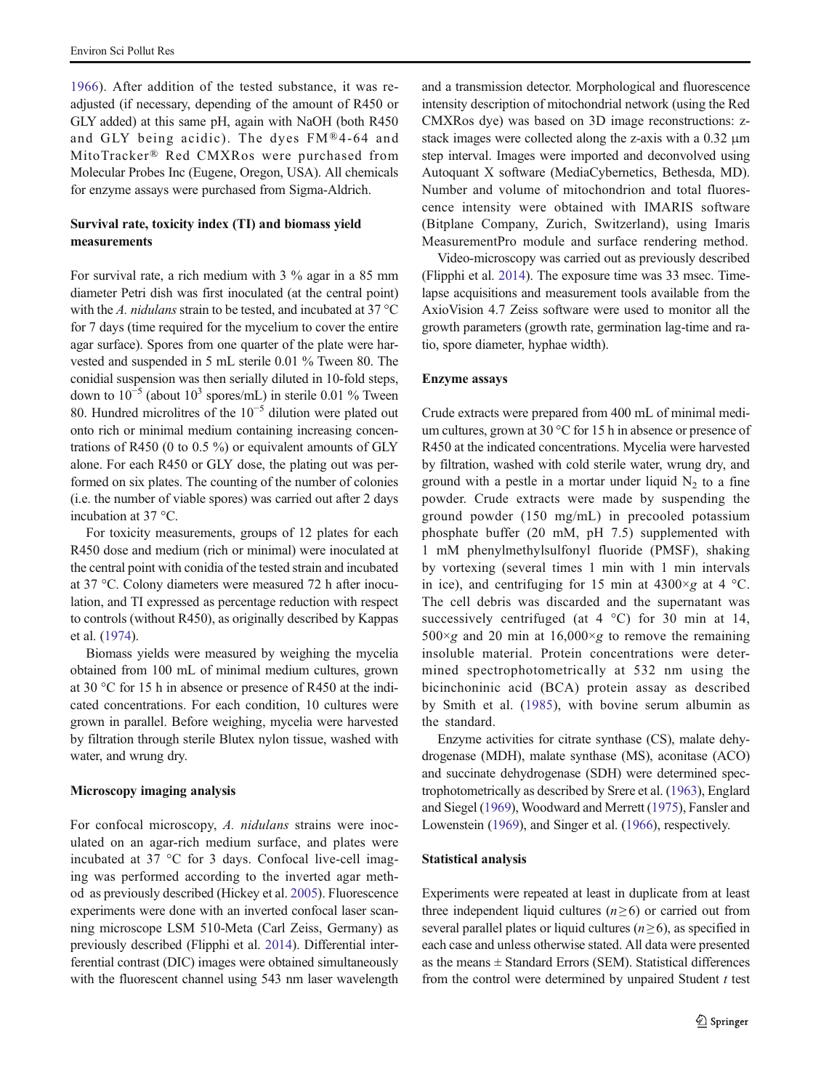[1966\)](#page-10-0). After addition of the tested substance, it was readjusted (if necessary, depending of the amount of R450 or GLY added) at this same pH, again with NaOH (both R450 and GLY being acidic). The dyes  $FM@4-64$  and MitoTracker® Red CMXRos were purchased from Molecular Probes Inc (Eugene, Oregon, USA). All chemicals for enzyme assays were purchased from Sigma-Aldrich.

# Survival rate, toxicity index (TI) and biomass yield measurements

For survival rate, a rich medium with 3 % agar in a 85 mm diameter Petri dish was first inoculated (at the central point) with the A. nidulans strain to be tested, and incubated at 37 °C for 7 days (time required for the mycelium to cover the entire agar surface). Spores from one quarter of the plate were harvested and suspended in 5 mL sterile 0.01 % Tween 80. The conidial suspension was then serially diluted in 10-fold steps, down to  $10^{-5}$  (about  $10^3$  spores/mL) in sterile 0.01 % Tween 80. Hundred microlitres of the 10−<sup>5</sup> dilution were plated out onto rich or minimal medium containing increasing concentrations of R450 (0 to 0.5 %) or equivalent amounts of GLY alone. For each R450 or GLY dose, the plating out was performed on six plates. The counting of the number of colonies (i.e. the number of viable spores) was carried out after 2 days incubation at 37 °C.

For toxicity measurements, groups of 12 plates for each R450 dose and medium (rich or minimal) were inoculated at the central point with conidia of the tested strain and incubated at 37 °C. Colony diameters were measured 72 h after inoculation, and TI expressed as percentage reduction with respect to controls (without R450), as originally described by Kappas et al. ([1974](#page-11-0)).

Biomass yields were measured by weighing the mycelia obtained from 100 mL of minimal medium cultures, grown at 30 °C for 15 h in absence or presence of R450 at the indicated concentrations. For each condition, 10 cultures were grown in parallel. Before weighing, mycelia were harvested by filtration through sterile Blutex nylon tissue, washed with water, and wrung dry.

#### Microscopy imaging analysis

For confocal microscopy, A. nidulans strains were inoculated on an agar-rich medium surface, and plates were incubated at 37 °C for 3 days. Confocal live-cell imaging was performed according to the inverted agar method as previously described (Hickey et al. [2005\)](#page-10-0). Fluorescence experiments were done with an inverted confocal laser scanning microscope LSM 510-Meta (Carl Zeiss, Germany) as previously described (Flipphi et al. [2014\)](#page-10-0). Differential interferential contrast (DIC) images were obtained simultaneously with the fluorescent channel using 543 nm laser wavelength

and a transmission detector. Morphological and fluorescence intensity description of mitochondrial network (using the Red CMXRos dye) was based on 3D image reconstructions: zstack images were collected along the z-axis with a 0.32 μm step interval. Images were imported and deconvolved using Autoquant X software (MediaCybernetics, Bethesda, MD). Number and volume of mitochondrion and total fluorescence intensity were obtained with IMARIS software (Bitplane Company, Zurich, Switzerland), using Imaris MeasurementPro module and surface rendering method.

Video-microscopy was carried out as previously described (Flipphi et al. [2014](#page-10-0)). The exposure time was 33 msec. Timelapse acquisitions and measurement tools available from the AxioVision 4.7 Zeiss software were used to monitor all the growth parameters (growth rate, germination lag-time and ratio, spore diameter, hyphae width).

#### Enzyme assays

Crude extracts were prepared from 400 mL of minimal medium cultures, grown at 30 °C for 15 h in absence or presence of R450 at the indicated concentrations. Mycelia were harvested by filtration, washed with cold sterile water, wrung dry, and ground with a pestle in a mortar under liquid  $N<sub>2</sub>$  to a fine powder. Crude extracts were made by suspending the ground powder (150 mg/mL) in precooled potassium phosphate buffer (20 mM, pH 7.5) supplemented with 1 mM phenylmethylsulfonyl fluoride (PMSF), shaking by vortexing (several times 1 min with 1 min intervals in ice), and centrifuging for 15 min at  $4300 \times g$  at 4 °C. The cell debris was discarded and the supernatant was successively centrifuged (at  $4 \degree C$ ) for 30 min at 14,  $500 \times g$  and 20 min at 16,000 $\times g$  to remove the remaining insoluble material. Protein concentrations were determined spectrophotometrically at 532 nm using the bicinchoninic acid (BCA) protein assay as described by Smith et al. ([1985](#page-11-0)), with bovine serum albumin as the standard.

Enzyme activities for citrate synthase (CS), malate dehydrogenase (MDH), malate synthase (MS), aconitase (ACO) and succinate dehydrogenase (SDH) were determined spectrophotometrically as described by Srere et al. [\(1963\)](#page-11-0), Englard and Siegel [\(1969\)](#page-10-0), Woodward and Merrett ([1975](#page-11-0)), Fansler and Lowenstein [\(1969\)](#page-10-0), and Singer et al. [\(1966\)](#page-11-0), respectively.

## Statistical analysis

Experiments were repeated at least in duplicate from at least three independent liquid cultures ( $n \ge 6$ ) or carried out from several parallel plates or liquid cultures ( $n \ge 6$ ), as specified in each case and unless otherwise stated. All data were presented as the means  $\pm$  Standard Errors (SEM). Statistical differences from the control were determined by unpaired Student  $t$  test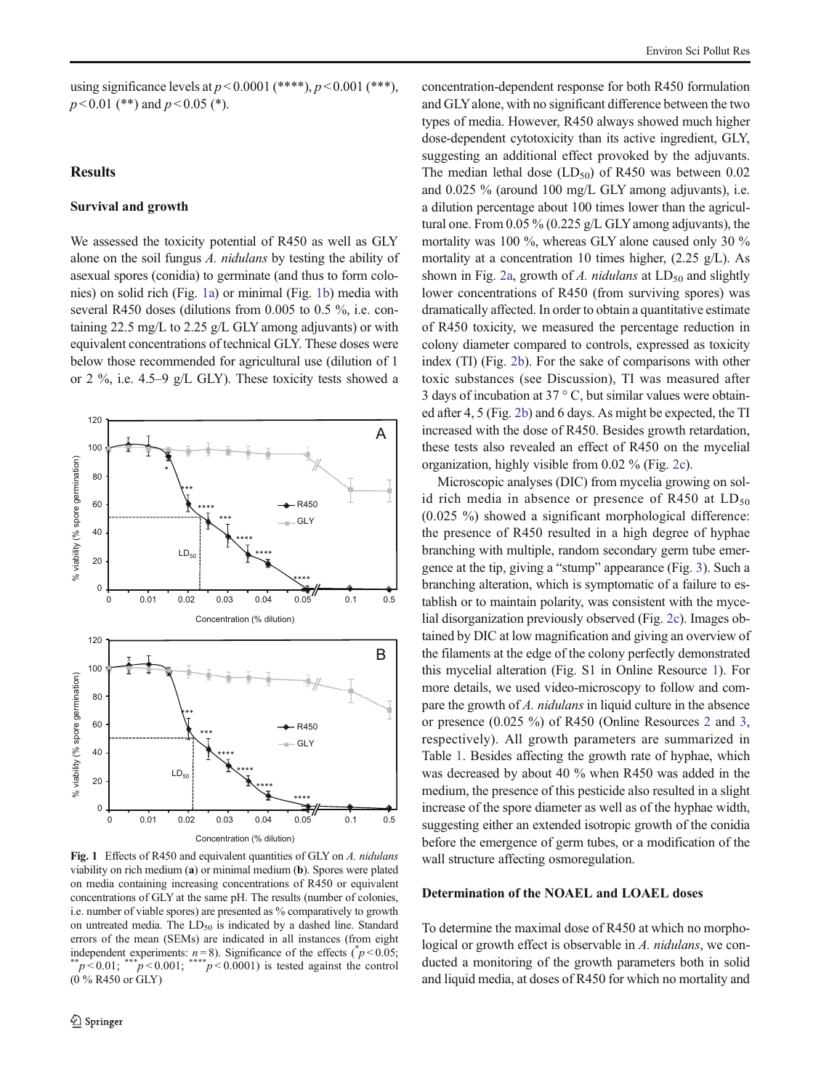<span id="page-3-0"></span>using significance levels at  $p < 0.0001$  (\*\*\*\*),  $p < 0.001$  (\*\*\*),  $p < 0.01$  (\*\*) and  $p < 0.05$  (\*).

## Results

#### Survival and growth

We assessed the toxicity potential of R450 as well as GLY alone on the soil fungus A. nidulans by testing the ability of asexual spores (conidia) to germinate (and thus to form colonies) on solid rich (Fig. 1a) or minimal (Fig. 1b) media with several R450 doses (dilutions from 0.005 to 0.5 %, i.e. containing 22.5 mg/L to 2.25 g/L GLY among adjuvants) or with equivalent concentrations of technical GLY. These doses were below those recommended for agricultural use (dilution of 1 or 2 %, i.e. 4.5–9 g/L GLY). These toxicity tests showed a



Fig. 1 Effects of R450 and equivalent quantities of GLY on A. nidulans viability on rich medium (a) or minimal medium (b). Spores were plated on media containing increasing concentrations of R450 or equivalent concentrations of GLY at the same pH. The results (number of colonies, i.e. number of viable spores) are presented as % comparatively to growth on untreated media. The  $LD_{50}$  is indicated by a dashed line. Standard errors of the mean (SEMs) are indicated in all instances (from eight independent experiments:  $n=8$ ). Significance of the effects  $\binom{p}{2}<0.05$ ;  $\binom{*}{p}<0.01$ ;  $\binom{***}{p}<0.0001$  is tested against the control (0 % R450 or GLY)

concentration-dependent response for both R450 formulation and GLYalone, with no significant difference between the two types of media. However, R450 always showed much higher dose-dependent cytotoxicity than its active ingredient, GLY, suggesting an additional effect provoked by the adjuvants. The median lethal dose  $(LD_{50})$  of R450 was between 0.02 and 0.025 % (around 100 mg/L GLY among adjuvants), i.e. a dilution percentage about 100 times lower than the agricultural one. From 0.05 % (0.225 g/L GLYamong adjuvants), the mortality was 100 %, whereas GLY alone caused only 30 % mortality at a concentration 10 times higher, (2.25 g/L). As shown in Fig. [2a](#page-4-0), growth of A. *nidulans* at  $LD_{50}$  and slightly lower concentrations of R450 (from surviving spores) was dramatically affected. In order to obtain a quantitative estimate of R450 toxicity, we measured the percentage reduction in colony diameter compared to controls, expressed as toxicity index (TI) (Fig. [2b\)](#page-4-0). For the sake of comparisons with other toxic substances (see Discussion), TI was measured after 3 days of incubation at 37 ° C, but similar values were obtained after 4, 5 (Fig. [2b](#page-4-0)) and 6 days. As might be expected, the TI increased with the dose of R450. Besides growth retardation, these tests also revealed an effect of R450 on the mycelial organization, highly visible from 0.02 % (Fig. [2c](#page-4-0)).

Microscopic analyses (DIC) from mycelia growing on solid rich media in absence or presence of R450 at  $LD_{50}$ (0.025 %) showed a significant morphological difference: the presence of R450 resulted in a high degree of hyphae branching with multiple, random secondary germ tube emergence at the tip, giving a "stump" appearance (Fig. [3](#page-4-0)). Such a branching alteration, which is symptomatic of a failure to establish or to maintain polarity, was consistent with the mycelial disorganization previously observed (Fig. [2c](#page-4-0)). Images obtained by DIC at low magnification and giving an overview of the filaments at the edge of the colony perfectly demonstrated this mycelial alteration (Fig. S1 in Online Resource 1). For more details, we used video-microscopy to follow and compare the growth of A. nidulans in liquid culture in the absence or presence (0.025 %) of R450 (Online Resources 2 and 3, respectively). All growth parameters are summarized in Table [1.](#page-5-0) Besides affecting the growth rate of hyphae, which was decreased by about 40 % when R450 was added in the medium, the presence of this pesticide also resulted in a slight increase of the spore diameter as well as of the hyphae width, suggesting either an extended isotropic growth of the conidia before the emergence of germ tubes, or a modification of the wall structure affecting osmoregulation.

## Determination of the NOAEL and LOAEL doses

To determine the maximal dose of R450 at which no morphological or growth effect is observable in A. nidulans, we conducted a monitoring of the growth parameters both in solid and liquid media, at doses of R450 for which no mortality and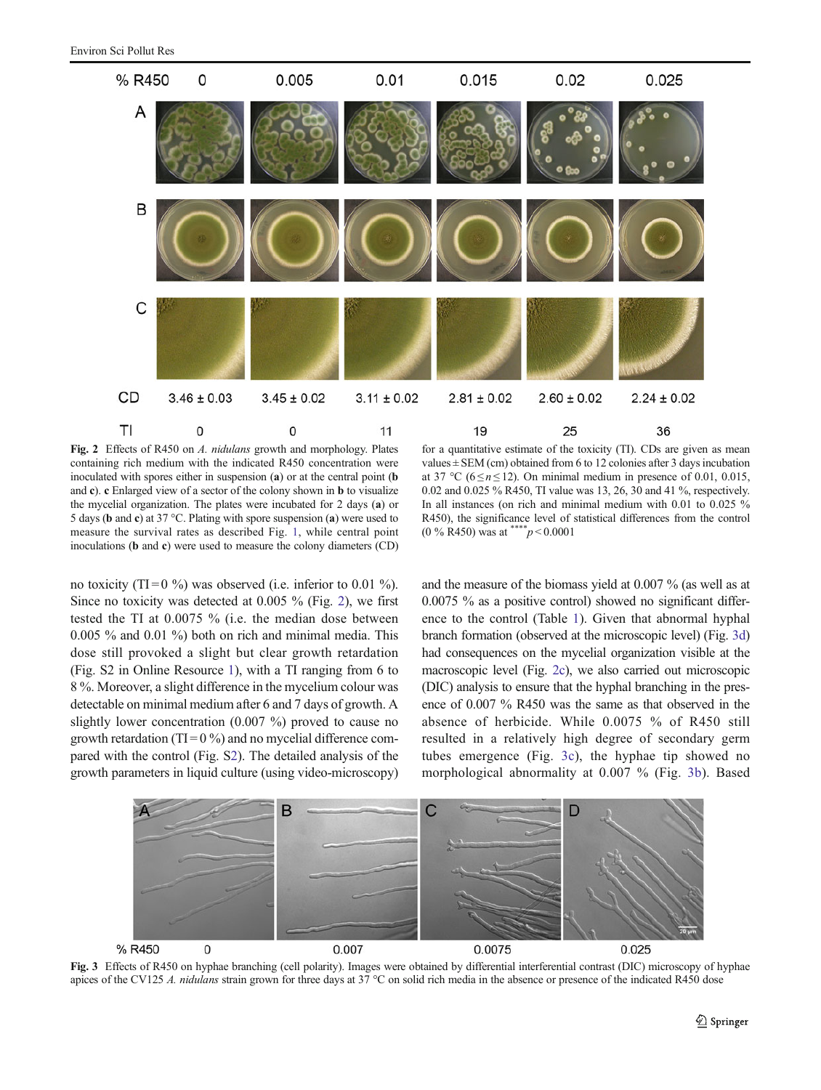<span id="page-4-0"></span>

Fig. 2 Effects of R450 on A. nidulans growth and morphology. Plates containing rich medium with the indicated R450 concentration were inoculated with spores either in suspension (a) or at the central point (b and c). c Enlarged view of a sector of the colony shown in b to visualize the mycelial organization. The plates were incubated for 2 days (a) or 5 days (b and c) at 37 °C. Plating with spore suspension (a) were used to measure the survival rates as described Fig. [1](#page-3-0), while central point inoculations (b and c) were used to measure the colony diameters (CD)

no toxicity (TI =  $0\%$ ) was observed (i.e. inferior to 0.01 %). Since no toxicity was detected at  $0.005$  % (Fig. 2), we first tested the TI at 0.0075 % (i.e. the median dose between 0.005 % and 0.01 %) both on rich and minimal media. This dose still provoked a slight but clear growth retardation (Fig. S2 in Online Resource 1), with a TI ranging from 6 to 8 %. Moreover, a slight difference in the mycelium colour was detectable on minimal medium after 6 and 7 days of growth. A slightly lower concentration (0.007 %) proved to cause no growth retardation (TI =  $0\%$ ) and no mycelial difference compared with the control (Fig. S2). The detailed analysis of the growth parameters in liquid culture (using video-microscopy)

for a quantitative estimate of the toxicity (TI). CDs are given as mean values  $\pm$  SEM (cm) obtained from 6 to 12 colonies after 3 days incubation at 37 °C ( $6 \le n \le 12$ ). On minimal medium in presence of 0.01, 0.015, 0.02 and 0.025 % R450, TI value was 13, 26, 30 and 41 %, respectively. In all instances (on rich and minimal medium with 0.01 to 0.025 % R450), the significance level of statistical differences from the control (0 % R450) was at  $\binom{***}{p}$  < 0.0001

and the measure of the biomass yield at 0.007 % (as well as at 0.0075 % as a positive control) showed no significant difference to the control (Table [1\)](#page-5-0). Given that abnormal hyphal branch formation (observed at the microscopic level) (Fig. 3d) had consequences on the mycelial organization visible at the macroscopic level (Fig. 2c), we also carried out microscopic (DIC) analysis to ensure that the hyphal branching in the presence of 0.007 % R450 was the same as that observed in the absence of herbicide. While 0.0075 % of R450 still resulted in a relatively high degree of secondary germ tubes emergence (Fig. 3c), the hyphae tip showed no morphological abnormality at 0.007 % (Fig. 3b). Based



Fig. 3 Effects of R450 on hyphae branching (cell polarity). Images were obtained by differential interferential contrast (DIC) microscopy of hyphae apices of the CV125 A. nidulans strain grown for three days at 37  $^{\circ}$ C on solid rich media in the absence or presence of the indicated R450 dose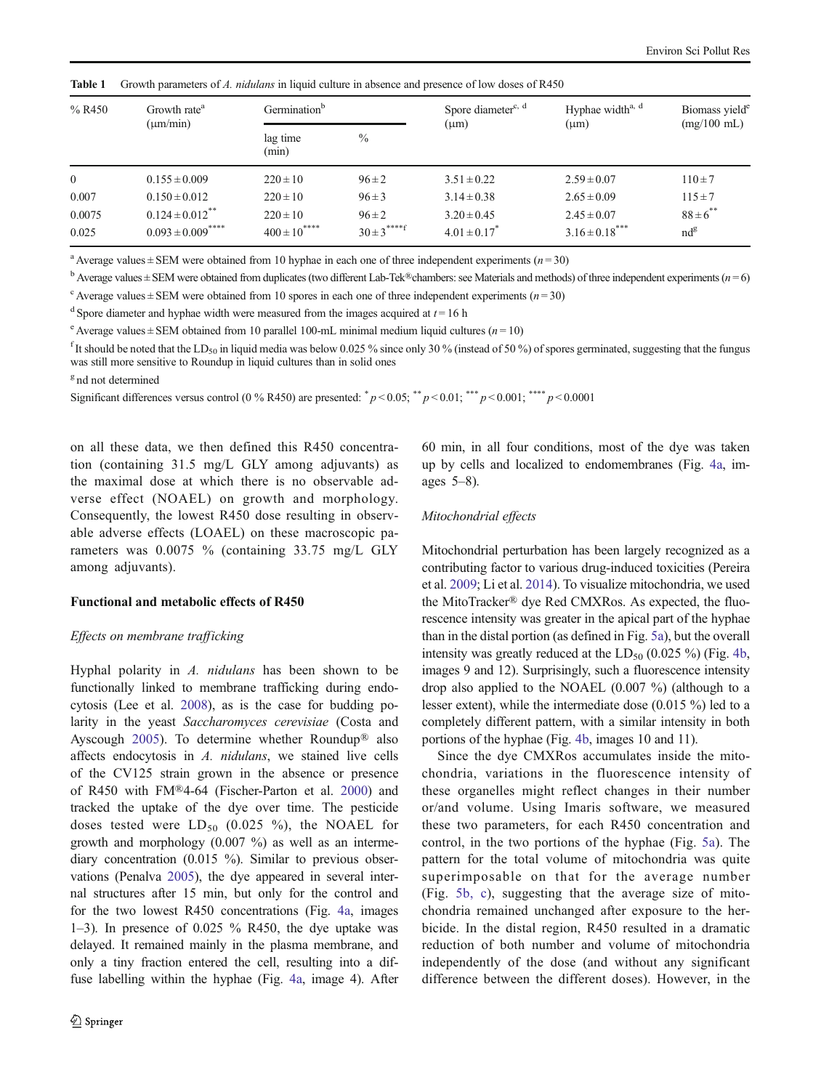<span id="page-5-0"></span>Table 1 Growth parameters of A. nidulans in liquid culture in absence and presence of low doses of R450

| $\%$ R450       | Growth rate <sup>a</sup><br>$(\mu m/min)$                 | Germination <sup>b</sup>           |                                            | Spore diameter <sup>c, d</sup>       | Hyphae width <sup>a, d</sup>           | Biomass yield <sup>e</sup> |
|-----------------|-----------------------------------------------------------|------------------------------------|--------------------------------------------|--------------------------------------|----------------------------------------|----------------------------|
|                 |                                                           | lag time<br>(min)                  | $\frac{0}{0}$                              | $(\mu m)$                            | $(\mu m)$                              | $(mg/100 \text{ mL})$      |
| $\overline{0}$  | $0.155 \pm 0.009$                                         | $220 \pm 10$                       | $96 \pm 2$                                 | $3.51 \pm 0.22$                      | $2.59 \pm 0.07$                        | $110 \pm 7$                |
| 0.007           | $0.150 \pm 0.012$                                         | $220 \pm 10$                       | $96 \pm 3$                                 | $3.14 \pm 0.38$                      | $2.65 \pm 0.09$                        | $115 \pm 7$                |
| 0.0075<br>0.025 | $0.124 \pm 0.012$ <sup>**</sup><br>$0.093 \pm 0.009$ **** | $220 \pm 10$<br>$400 \pm 10^{***}$ | $96 \pm 2$<br>$30 \pm 3$ <sup>*****f</sup> | $3.20 \pm 0.45$<br>$4.01 \pm 0.17^*$ | $2.45 \pm 0.07$<br>$3.16 \pm 0.18$ *** | $88 \pm 6$ **<br>$nd^g$    |

<sup>a</sup> Average values  $\pm$  SEM were obtained from 10 hyphae in each one of three independent experiments ( $n = 30$ )

 $b$  Average values  $\pm$  SEM were obtained from duplicates (two different Lab-Tek®chambers: see Materials and methods) of three independent experiments (n = 6)

 $\textdegree$  Average values  $\pm$  SEM were obtained from 10 spores in each one of three independent experiments ( $n = 30$ )

<sup>d</sup> Spore diameter and hyphae width were measured from the images acquired at  $t = 16$  h

<sup>e</sup> Average values  $\pm$  SEM obtained from 10 parallel 100-mL minimal medium liquid cultures ( $n = 10$ )

<sup>f</sup> It should be noted that the LD<sub>50</sub> in liquid media was below 0.025 % since only 30 % (instead of 50 %) of spores germinated, suggesting that the fungus was still more sensitive to Roundup in liquid cultures than in solid ones

<sup>g</sup> nd not determined

Significant differences versus control (0 % R450) are presented:  $p < 0.05$ ;  $^{*+}p < 0.01$ ;  $^{***}p < 0.001$ ;  $^{***}p < 0.0001$ 

on all these data, we then defined this R450 concentration (containing 31.5 mg/L GLY among adjuvants) as the maximal dose at which there is no observable adverse effect (NOAEL) on growth and morphology. Consequently, the lowest R450 dose resulting in observable adverse effects (LOAEL) on these macroscopic parameters was 0.0075 % (containing 33.75 mg/L GLY among adjuvants).

## Functional and metabolic effects of R450

#### Effects on membrane trafficking

Hyphal polarity in A. nidulans has been shown to be functionally linked to membrane trafficking during endocytosis (Lee et al. [2008\)](#page-11-0), as is the case for budding polarity in the yeast Saccharomyces cerevisiae (Costa and Ayscough [2005\)](#page-10-0). To determine whether Roundup® also affects endocytosis in A. nidulans, we stained live cells of the CV125 strain grown in the absence or presence of R450 with FM®4-64 (Fischer-Parton et al. [2000\)](#page-10-0) and tracked the uptake of the dye over time. The pesticide doses tested were  $LD_{50}$  (0.025 %), the NOAEL for growth and morphology (0.007 %) as well as an intermediary concentration (0.015 %). Similar to previous observations (Penalva [2005](#page-11-0)), the dye appeared in several internal structures after 15 min, but only for the control and for the two lowest R450 concentrations (Fig. [4a](#page-6-0), images 1–3). In presence of  $0.025 \%$  R450, the dye uptake was delayed. It remained mainly in the plasma membrane, and only a tiny fraction entered the cell, resulting into a diffuse labelling within the hyphae (Fig. [4a](#page-6-0), image 4). After 60 min, in all four conditions, most of the dye was taken up by cells and localized to endomembranes (Fig. [4a](#page-6-0), images 5–8).

## Mitochondrial effects

Mitochondrial perturbation has been largely recognized as a contributing factor to various drug-induced toxicities (Pereira et al. [2009;](#page-11-0) Li et al. [2014\)](#page-11-0). To visualize mitochondria, we used the MitoTracker® dye Red CMXRos. As expected, the fluorescence intensity was greater in the apical part of the hyphae than in the distal portion (as defined in Fig. [5a\)](#page-7-0), but the overall intensity was greatly reduced at the  $LD_{50}$  (0.025 %) (Fig. [4b,](#page-6-0) images 9 and 12). Surprisingly, such a fluorescence intensity drop also applied to the NOAEL (0.007 %) (although to a lesser extent), while the intermediate dose (0.015 %) led to a completely different pattern, with a similar intensity in both portions of the hyphae (Fig. [4b](#page-6-0), images 10 and 11).

Since the dye CMXRos accumulates inside the mitochondria, variations in the fluorescence intensity of these organelles might reflect changes in their number or/and volume. Using Imaris software, we measured these two parameters, for each R450 concentration and control, in the two portions of the hyphae (Fig. [5a\)](#page-7-0). The pattern for the total volume of mitochondria was quite superimposable on that for the average number (Fig. [5b, c](#page-7-0)), suggesting that the average size of mitochondria remained unchanged after exposure to the herbicide. In the distal region, R450 resulted in a dramatic reduction of both number and volume of mitochondria independently of the dose (and without any significant difference between the different doses). However, in the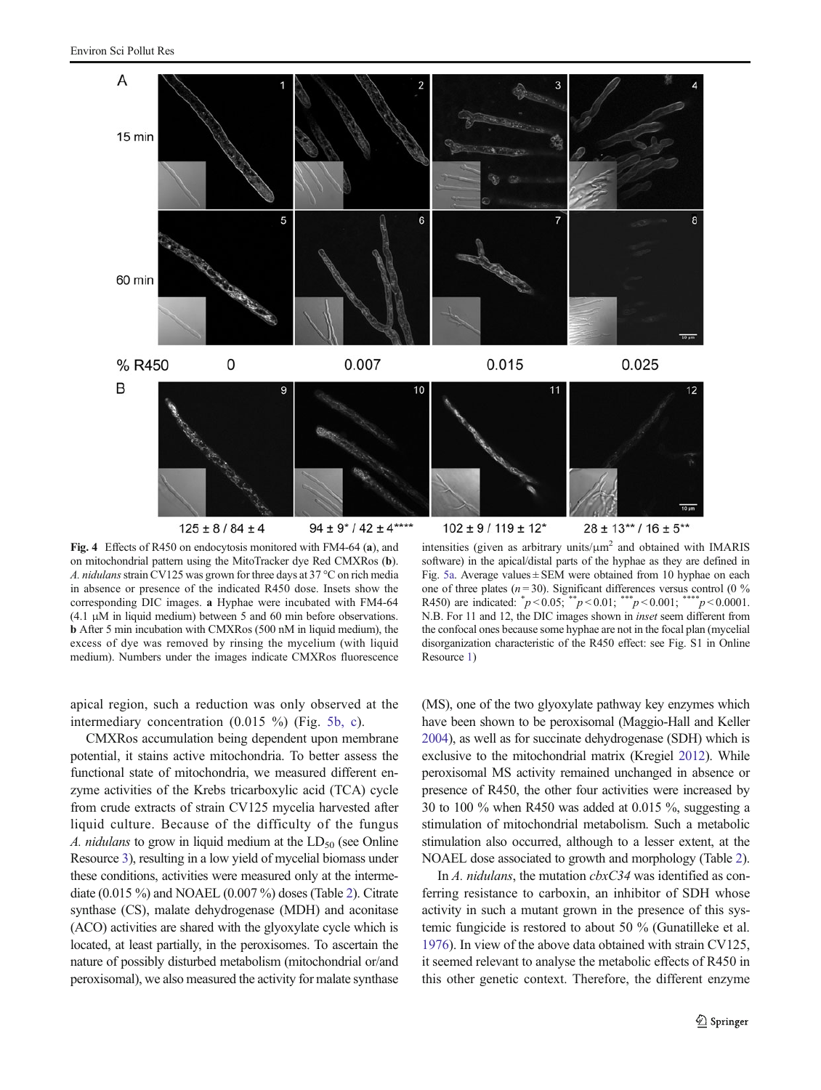<span id="page-6-0"></span>

Fig. 4 Effects of R450 on endocytosis monitored with FM4-64 (a), and on mitochondrial pattern using the MitoTracker dye Red CMXRos (b). A. nidulans strain CV125 was grown for three days at 37 °C on rich media in absence or presence of the indicated R450 dose. Insets show the corresponding DIC images. a Hyphae were incubated with FM4-64 (4.1 μM in liquid medium) between 5 and 60 min before observations. b After 5 min incubation with CMXRos (500 nM in liquid medium), the excess of dye was removed by rinsing the mycelium (with liquid medium). Numbers under the images indicate CMXRos fluorescence

apical region, such a reduction was only observed at the intermediary concentration (0.015 %) (Fig. [5b, c](#page-7-0)).

CMXRos accumulation being dependent upon membrane potential, it stains active mitochondria. To better assess the functional state of mitochondria, we measured different enzyme activities of the Krebs tricarboxylic acid (TCA) cycle from crude extracts of strain CV125 mycelia harvested after liquid culture. Because of the difficulty of the fungus A. nidulans to grow in liquid medium at the  $LD_{50}$  (see Online Resource 3), resulting in a low yield of mycelial biomass under these conditions, activities were measured only at the intermediate (0.015 %) and NOAEL (0.007 %) doses (Table [2](#page-7-0)). Citrate synthase (CS), malate dehydrogenase (MDH) and aconitase (ACO) activities are shared with the glyoxylate cycle which is located, at least partially, in the peroxisomes. To ascertain the nature of possibly disturbed metabolism (mitochondrial or/and peroxisomal), we also measured the activity for malate synthase

intensities (given as arbitrary units/ $\mu$ m<sup>2</sup> and obtained with IMARIS software) in the apical/distal parts of the hyphae as they are defined in Fig. [5a.](#page-7-0) Average values ± SEM were obtained from 10 hyphae on each one of three plates ( $n = 30$ ). Significant differences versus control (0 % R450) are indicated:  $p < 0.05$ ;  $\binom{4}{3}$   $p < 0.01$ ;  $\binom{4}{3}$   $p < 0.001$ ;  $\binom{4}{3}$   $p < 0.0001$ . N.B. For 11 and 12, the DIC images shown in inset seem different from the confocal ones because some hyphae are not in the focal plan (mycelial disorganization characteristic of the R450 effect: see Fig. S1 in Online Resource 1)

(MS), one of the two glyoxylate pathway key enzymes which have been shown to be peroxisomal (Maggio-Hall and Keller [2004](#page-11-0)), as well as for succinate dehydrogenase (SDH) which is exclusive to the mitochondrial matrix (Kregiel [2012\)](#page-11-0). While peroxisomal MS activity remained unchanged in absence or presence of R450, the other four activities were increased by 30 to 100 % when R450 was added at 0.015 %, suggesting a stimulation of mitochondrial metabolism. Such a metabolic stimulation also occurred, although to a lesser extent, at the NOAEL dose associated to growth and morphology (Table [2\)](#page-7-0).

In A. nidulans, the mutation cbxC34 was identified as conferring resistance to carboxin, an inhibitor of SDH whose activity in such a mutant grown in the presence of this systemic fungicide is restored to about 50 % (Gunatilleke et al. [1976\)](#page-10-0). In view of the above data obtained with strain CV125, it seemed relevant to analyse the metabolic effects of R450 in this other genetic context. Therefore, the different enzyme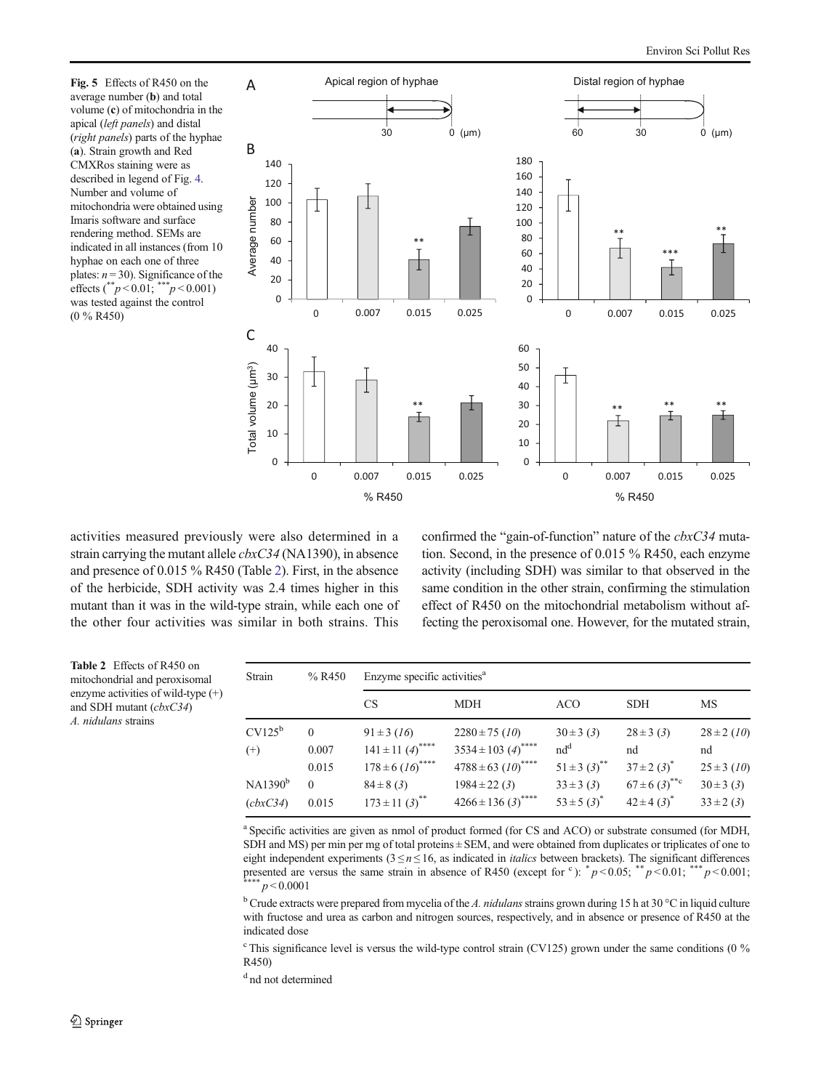<span id="page-7-0"></span>Fig. 5 Effects of R450 on the average number (b) and total volume (c) of mitochondria in the apical (left panels) and distal (right panels) parts of the hyphae (a). Strain growth and Red CMXRos staining were as described in legend of Fig. [4.](#page-6-0) Number and volume of mitochondria were obtained using Imaris software and surface rendering method. SEMs are indicated in all instances (from 10 hyphae on each one of three plates:  $n = 30$ ). Significance of the effects  $\binom{*_p}{6}$  < 0.01;  $\binom{**_p}{6}$  < 0.001) was tested against the control (0 % R450)



activities measured previously were also determined in a strain carrying the mutant allele cbxC34 (NA1390), in absence and presence of 0.015 % R450 (Table 2). First, in the absence of the herbicide, SDH activity was 2.4 times higher in this mutant than it was in the wild-type strain, while each one of the other four activities was similar in both strains. This confirmed the "gain-of-function" nature of the cbxC34 mutation. Second, in the presence of 0.015 % R450, each enzyme activity (including SDH) was similar to that observed in the same condition in the other strain, confirming the stimulation effect of R450 on the mitochondrial metabolism without affecting the peroxisomal one. However, for the mutated strain,

Table 2 Effects of R450 on mitochondrial and peroxisomal enzyme activities of wild-type (+) and SDH mutant (cbxC34) A. nidulans strains

| Strain                          | % R450            | Enzyme specific activities <sup>a</sup>                                |                                                                   |                                                 |                                                              |                                |  |  |
|---------------------------------|-------------------|------------------------------------------------------------------------|-------------------------------------------------------------------|-------------------------------------------------|--------------------------------------------------------------|--------------------------------|--|--|
|                                 |                   | CS                                                                     | <b>MDH</b>                                                        | <b>ACO</b>                                      | <b>SDH</b>                                                   | MS                             |  |  |
| CV125 <sup>b</sup>              | $\Omega$          | $91 \pm 3(16)$                                                         | $2280 \pm 75$ (10)                                                | $30 \pm 3(3)$                                   | $28 \pm 3(3)$                                                | $28 \pm 2(10)$                 |  |  |
| $^{(+)}$                        | 0.007<br>0.015    | $141 \pm 11$ (4) <sup>*****</sup><br>$178 \pm 6$ (16) <sup>*****</sup> | $3534 \pm 103$ (4) <sup>*****</sup><br>$4788 \pm 63$ $(10)^{***}$ | nd <sup>d</sup><br>$51 \pm 3$ (3) <sup>**</sup> | nd<br>$37 \pm 2(3)^{*}$                                      | nd<br>$25 \pm 3$ (10)          |  |  |
| NA1390 <sup>b</sup><br>(cbxC34) | $\Omega$<br>0.015 | $84 \pm 8$ (3)<br>$173 \pm 11$ (3) <sup>**</sup>                       | $1984 \pm 22(3)$<br>$4266 \pm 136$ (3) <sup>*****</sup>           | $33 \pm 3$ (3)<br>$53 \pm 5 (3)^{*}$            | $67 \pm 6$ (3) <sup>**c</sup><br>$42 \pm 4$ (3) <sup>*</sup> | $30 \pm 3(3)$<br>$33 \pm 2(3)$ |  |  |

<sup>a</sup> Specific activities are given as nmol of product formed (for CS and ACO) or substrate consumed (for MDH, SDH and MS) per min per mg of total proteins ± SEM, and were obtained from duplicates or triplicates of one to eight independent experiments ( $3 \le n \le 16$ , as indicated in *italics* between brackets). The significant differences presented are versus the same strain in absence of R450 (except for °):  $^*p$  < 0.05;  $^{**}p$  < 0.01;  $^{***}p$  < 0.001;  $^{***}p$  < 0.0001

 $b$ Crude extracts were prepared from mycelia of the A. nidulans strains grown during 15 h at 30 °C in liquid culture with fructose and urea as carbon and nitrogen sources, respectively, and in absence or presence of R450 at the indicated dose

<sup>c</sup> This significance level is versus the wild-type control strain (CV125) grown under the same conditions (0 % R450)

<sup>d</sup> nd not determined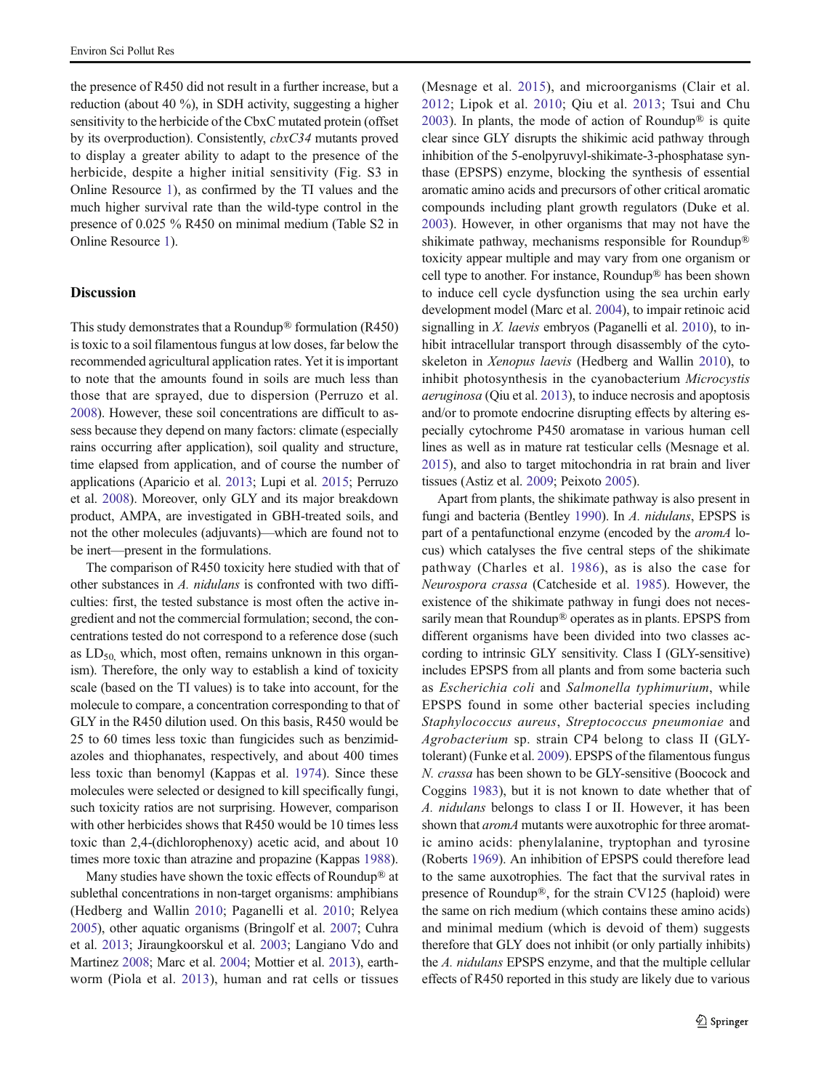the presence of R450 did not result in a further increase, but a reduction (about 40 %), in SDH activity, suggesting a higher sensitivity to the herbicide of the CbxC mutated protein (offset by its overproduction). Consistently, cbxC34 mutants proved to display a greater ability to adapt to the presence of the herbicide, despite a higher initial sensitivity (Fig. S3 in Online Resource 1), as confirmed by the TI values and the much higher survival rate than the wild-type control in the presence of 0.025 % R450 on minimal medium (Table S2 in Online Resource 1).

## Discussion

This study demonstrates that a Roundup® formulation (R450) is toxic to a soil filamentous fungus at low doses, far below the recommended agricultural application rates. Yet it is important to note that the amounts found in soils are much less than those that are sprayed, due to dispersion (Perruzo et al. [2008\)](#page-11-0). However, these soil concentrations are difficult to assess because they depend on many factors: climate (especially rains occurring after application), soil quality and structure, time elapsed from application, and of course the number of applications (Aparicio et al. [2013](#page-10-0); Lupi et al. [2015](#page-11-0); Perruzo et al. [2008\)](#page-11-0). Moreover, only GLY and its major breakdown product, AMPA, are investigated in GBH-treated soils, and not the other molecules (adjuvants)—which are found not to be inert—present in the formulations.

The comparison of R450 toxicity here studied with that of other substances in A. nidulans is confronted with two difficulties: first, the tested substance is most often the active ingredient and not the commercial formulation; second, the concentrations tested do not correspond to a reference dose (such as  $LD_{50}$ , which, most often, remains unknown in this organism). Therefore, the only way to establish a kind of toxicity scale (based on the TI values) is to take into account, for the molecule to compare, a concentration corresponding to that of GLY in the R450 dilution used. On this basis, R450 would be 25 to 60 times less toxic than fungicides such as benzimidazoles and thiophanates, respectively, and about 400 times less toxic than benomyl (Kappas et al. [1974\)](#page-11-0). Since these molecules were selected or designed to kill specifically fungi, such toxicity ratios are not surprising. However, comparison with other herbicides shows that R450 would be 10 times less toxic than 2,4-(dichlorophenoxy) acetic acid, and about 10 times more toxic than atrazine and propazine (Kappas [1988](#page-11-0)).

Many studies have shown the toxic effects of Roundup® at sublethal concentrations in non-target organisms: amphibians (Hedberg and Wallin [2010;](#page-10-0) Paganelli et al. [2010;](#page-11-0) Relyea [2005\)](#page-11-0), other aquatic organisms (Bringolf et al. [2007](#page-10-0); Cuhra et al. [2013;](#page-10-0) Jiraungkoorskul et al. [2003](#page-10-0); Langiano Vdo and Martinez [2008](#page-11-0); Marc et al. [2004](#page-11-0); Mottier et al. [2013](#page-11-0)), earthworm (Piola et al. [2013](#page-11-0)), human and rat cells or tissues (Mesnage et al. [2015](#page-11-0)), and microorganisms (Clair et al. [2012;](#page-10-0) Lipok et al. [2010](#page-11-0); Qiu et al. [2013](#page-11-0); Tsui and Chu [2003\)](#page-11-0). In plants, the mode of action of Roundup<sup>®</sup> is quite clear since GLY disrupts the shikimic acid pathway through inhibition of the 5-enolpyruvyl-shikimate-3-phosphatase synthase (EPSPS) enzyme, blocking the synthesis of essential aromatic amino acids and precursors of other critical aromatic compounds including plant growth regulators (Duke et al. [2003\)](#page-10-0). However, in other organisms that may not have the shikimate pathway, mechanisms responsible for Roundup® toxicity appear multiple and may vary from one organism or cell type to another. For instance, Roundup® has been shown to induce cell cycle dysfunction using the sea urchin early development model (Marc et al. [2004](#page-11-0)), to impair retinoic acid signalling in X. laevis embryos (Paganelli et al. [2010](#page-11-0)), to inhibit intracellular transport through disassembly of the cytoskeleton in Xenopus laevis (Hedberg and Wallin [2010](#page-10-0)), to inhibit photosynthesis in the cyanobacterium Microcystis aeruginosa (Qiu et al. [2013](#page-11-0)), to induce necrosis and apoptosis and/or to promote endocrine disrupting effects by altering especially cytochrome P450 aromatase in various human cell lines as well as in mature rat testicular cells (Mesnage et al. [2015\)](#page-11-0), and also to target mitochondria in rat brain and liver tissues (Astiz et al. [2009;](#page-10-0) Peixoto [2005\)](#page-11-0).

Apart from plants, the shikimate pathway is also present in fungi and bacteria (Bentley [1990](#page-10-0)). In A. nidulans, EPSPS is part of a pentafunctional enzyme (encoded by the aromA locus) which catalyses the five central steps of the shikimate pathway (Charles et al. [1986](#page-10-0)), as is also the case for Neurospora crassa (Catcheside et al. [1985\)](#page-10-0). However, the existence of the shikimate pathway in fungi does not necessarily mean that Roundup® operates as in plants. EPSPS from different organisms have been divided into two classes according to intrinsic GLY sensitivity. Class I (GLY-sensitive) includes EPSPS from all plants and from some bacteria such as Escherichia coli and Salmonella typhimurium, while EPSPS found in some other bacterial species including Staphylococcus aureus, Streptococcus pneumoniae and Agrobacterium sp. strain CP4 belong to class II (GLYtolerant) (Funke et al. [2009\)](#page-10-0). EPSPS of the filamentous fungus N. crassa has been shown to be GLY-sensitive (Boocock and Coggins [1983\)](#page-10-0), but it is not known to date whether that of A. nidulans belongs to class I or II. However, it has been shown that *aromA* mutants were auxotrophic for three aromatic amino acids: phenylalanine, tryptophan and tyrosine (Roberts [1969\)](#page-11-0). An inhibition of EPSPS could therefore lead to the same auxotrophies. The fact that the survival rates in presence of Roundup®, for the strain CV125 (haploid) were the same on rich medium (which contains these amino acids) and minimal medium (which is devoid of them) suggests therefore that GLY does not inhibit (or only partially inhibits) the A. nidulans EPSPS enzyme, and that the multiple cellular effects of R450 reported in this study are likely due to various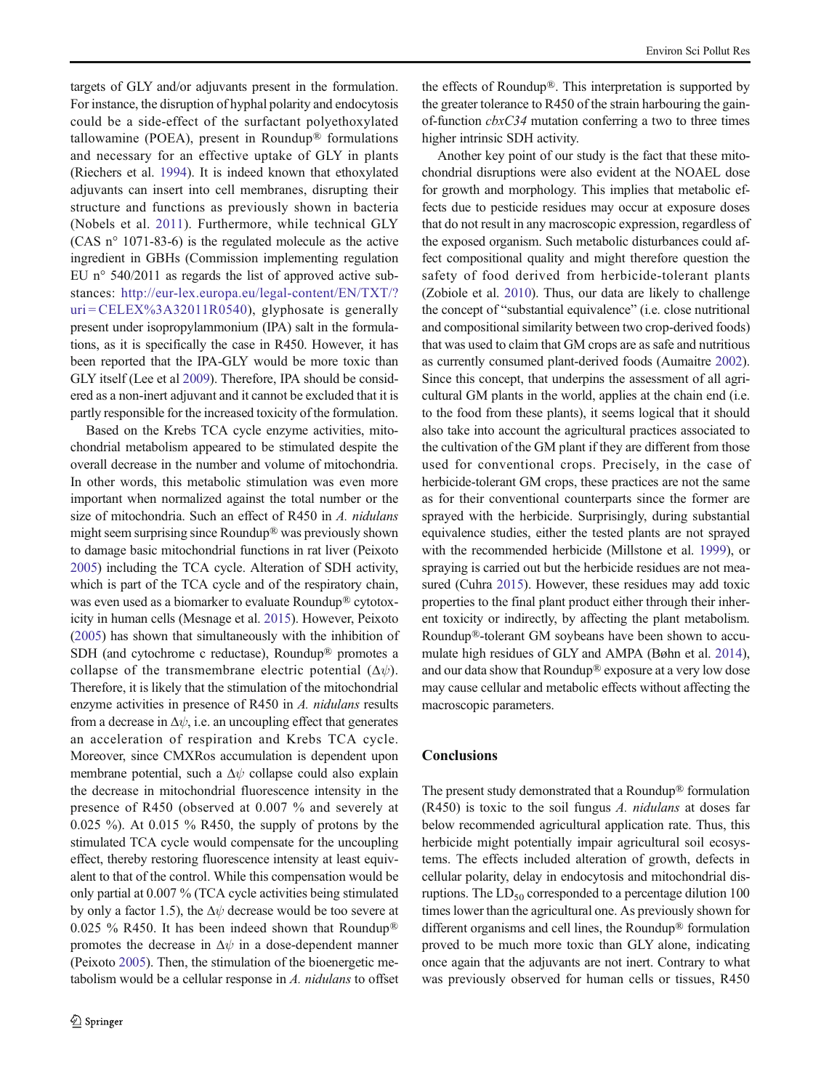targets of GLY and/or adjuvants present in the formulation. For instance, the disruption of hyphal polarity and endocytosis could be a side-effect of the surfactant polyethoxylated tallowamine (POEA), present in Roundup® formulations and necessary for an effective uptake of GLY in plants (Riechers et al. [1994\)](#page-11-0). It is indeed known that ethoxylated adjuvants can insert into cell membranes, disrupting their structure and functions as previously shown in bacteria (Nobels et al. [2011](#page-11-0)). Furthermore, while technical GLY (CAS n° 1071-83-6) is the regulated molecule as the active ingredient in GBHs (Commission implementing regulation EU n° 540/2011 as regards the list of approved active substances: [http://eur-lex.europa.eu/legal-content/EN/TXT/?](http://eur-lex.europa.eu/legal-content/EN/TXT/?uri=CELEX%3A32011R0540)  $uri = CELEX\%3A32011R0540$ , glyphosate is generally present under isopropylammonium (IPA) salt in the formulations, as it is specifically the case in R450. However, it has been reported that the IPA-GLY would be more toxic than GLY itself (Lee et al [2009](#page-11-0)). Therefore, IPA should be considered as a non-inert adjuvant and it cannot be excluded that it is partly responsible for the increased toxicity of the formulation.

Based on the Krebs TCA cycle enzyme activities, mitochondrial metabolism appeared to be stimulated despite the overall decrease in the number and volume of mitochondria. In other words, this metabolic stimulation was even more important when normalized against the total number or the size of mitochondria. Such an effect of R450 in A. nidulans might seem surprising since Roundup® was previously shown to damage basic mitochondrial functions in rat liver (Peixoto [2005\)](#page-11-0) including the TCA cycle. Alteration of SDH activity, which is part of the TCA cycle and of the respiratory chain, was even used as a biomarker to evaluate Roundup® cytotoxicity in human cells (Mesnage et al. [2015](#page-11-0)). However, Peixoto [\(2005\)](#page-11-0) has shown that simultaneously with the inhibition of SDH (and cytochrome c reductase), Roundup® promotes a collapse of the transmembrane electric potential  $(\Delta \psi)$ . Therefore, it is likely that the stimulation of the mitochondrial enzyme activities in presence of R450 in A. nidulans results from a decrease in  $\Delta \psi$ , i.e. an uncoupling effect that generates an acceleration of respiration and Krebs TCA cycle. Moreover, since CMXRos accumulation is dependent upon membrane potential, such a  $\Delta \psi$  collapse could also explain the decrease in mitochondrial fluorescence intensity in the presence of R450 (observed at 0.007 % and severely at 0.025 %). At 0.015 % R450, the supply of protons by the stimulated TCA cycle would compensate for the uncoupling effect, thereby restoring fluorescence intensity at least equivalent to that of the control. While this compensation would be only partial at 0.007 % (TCA cycle activities being stimulated by only a factor 1.5), the  $\Delta \psi$  decrease would be too severe at 0.025 % R450. It has been indeed shown that Roundup<sup>®</sup> promotes the decrease in  $\Delta \psi$  in a dose-dependent manner (Peixoto [2005\)](#page-11-0). Then, the stimulation of the bioenergetic metabolism would be a cellular response in  $A$ . *nidulans* to offset

the effects of Roundup®. This interpretation is supported by the greater tolerance to R450 of the strain harbouring the gainof-function  $\text{cbx}C\text{34}$  mutation conferring a two to three times higher intrinsic SDH activity.

Another key point of our study is the fact that these mitochondrial disruptions were also evident at the NOAEL dose for growth and morphology. This implies that metabolic effects due to pesticide residues may occur at exposure doses that do not result in any macroscopic expression, regardless of the exposed organism. Such metabolic disturbances could affect compositional quality and might therefore question the safety of food derived from herbicide-tolerant plants (Zobiole et al. [2010\)](#page-11-0). Thus, our data are likely to challenge the concept of "substantial equivalence" (i.e. close nutritional and compositional similarity between two crop-derived foods) that was used to claim that GM crops are as safe and nutritious as currently consumed plant-derived foods (Aumaitre [2002\)](#page-10-0). Since this concept, that underpins the assessment of all agricultural GM plants in the world, applies at the chain end (i.e. to the food from these plants), it seems logical that it should also take into account the agricultural practices associated to the cultivation of the GM plant if they are different from those used for conventional crops. Precisely, in the case of herbicide-tolerant GM crops, these practices are not the same as for their conventional counterparts since the former are sprayed with the herbicide. Surprisingly, during substantial equivalence studies, either the tested plants are not sprayed with the recommended herbicide (Millstone et al. [1999](#page-11-0)), or spraying is carried out but the herbicide residues are not measured (Cuhra [2015](#page-10-0)). However, these residues may add toxic properties to the final plant product either through their inherent toxicity or indirectly, by affecting the plant metabolism. Roundup®-tolerant GM soybeans have been shown to accumulate high residues of GLY and AMPA (Bøhn et al. [2014\)](#page-10-0), and our data show that Roundup® exposure at a very low dose may cause cellular and metabolic effects without affecting the macroscopic parameters.

## **Conclusions**

The present study demonstrated that a Roundup® formulation (R450) is toxic to the soil fungus A. nidulans at doses far below recommended agricultural application rate. Thus, this herbicide might potentially impair agricultural soil ecosystems. The effects included alteration of growth, defects in cellular polarity, delay in endocytosis and mitochondrial disruptions. The  $LD_{50}$  corresponded to a percentage dilution 100 times lower than the agricultural one. As previously shown for different organisms and cell lines, the Roundup® formulation proved to be much more toxic than GLY alone, indicating once again that the adjuvants are not inert. Contrary to what was previously observed for human cells or tissues, R450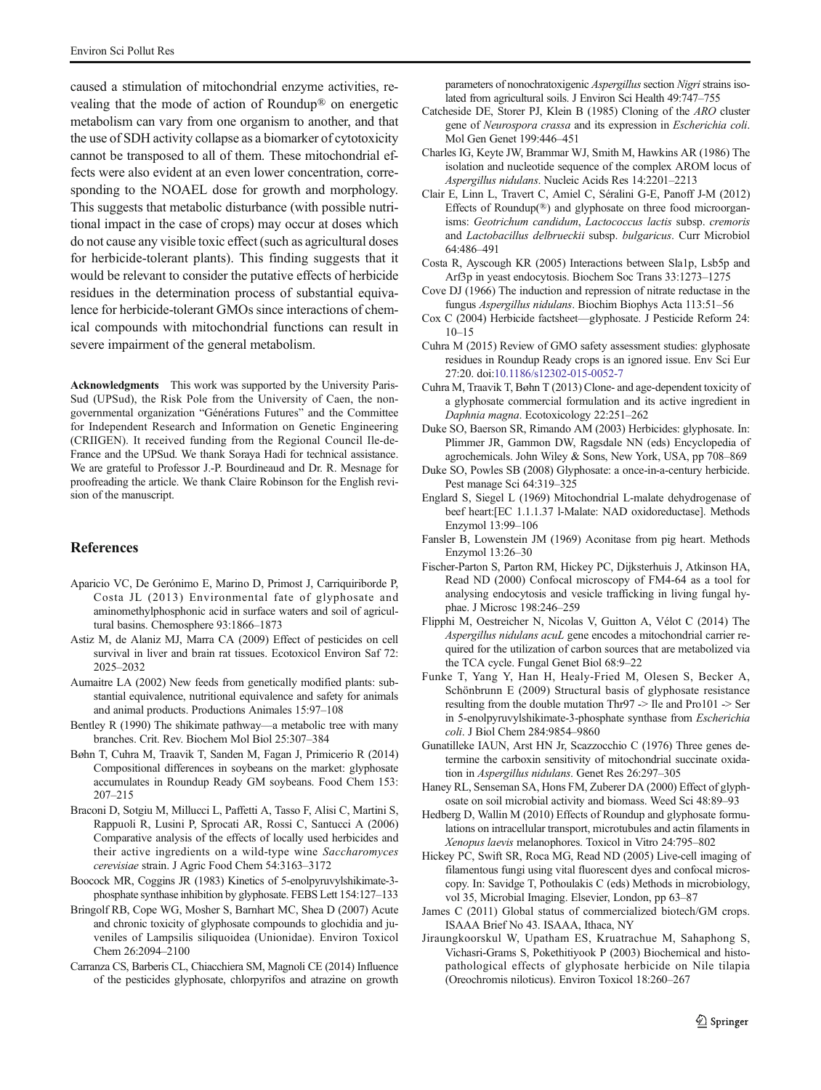<span id="page-10-0"></span>caused a stimulation of mitochondrial enzyme activities, revealing that the mode of action of Roundup® on energetic metabolism can vary from one organism to another, and that the use of SDH activity collapse as a biomarker of cytotoxicity cannot be transposed to all of them. These mitochondrial effects were also evident at an even lower concentration, corresponding to the NOAEL dose for growth and morphology. This suggests that metabolic disturbance (with possible nutritional impact in the case of crops) may occur at doses which do not cause any visible toxic effect (such as agricultural doses for herbicide-tolerant plants). This finding suggests that it would be relevant to consider the putative effects of herbicide residues in the determination process of substantial equivalence for herbicide-tolerant GMOs since interactions of chemical compounds with mitochondrial functions can result in severe impairment of the general metabolism.

Acknowledgments This work was supported by the University Paris-Sud (UPSud), the Risk Pole from the University of Caen, the nongovernmental organization "Générations Futures" and the Committee for Independent Research and Information on Genetic Engineering (CRIIGEN). It received funding from the Regional Council Ile-de-France and the UPSud. We thank Soraya Hadi for technical assistance. We are grateful to Professor J.-P. Bourdineaud and Dr. R. Mesnage for proofreading the article. We thank Claire Robinson for the English revision of the manuscript.

## References

- Aparicio VC, De Gerónimo E, Marino D, Primost J, Carriquiriborde P, Costa JL (2013) Environmental fate of glyphosate and aminomethylphosphonic acid in surface waters and soil of agricultural basins. Chemosphere 93:1866–1873
- Astiz M, de Alaniz MJ, Marra CA (2009) Effect of pesticides on cell survival in liver and brain rat tissues. Ecotoxicol Environ Saf 72: 2025–2032
- Aumaitre LA (2002) New feeds from genetically modified plants: substantial equivalence, nutritional equivalence and safety for animals and animal products. Productions Animales 15:97–108
- Bentley R (1990) The shikimate pathway—a metabolic tree with many branches. Crit. Rev. Biochem Mol Biol 25:307–384
- Bøhn T, Cuhra M, Traavik T, Sanden M, Fagan J, Primicerio R (2014) Compositional differences in soybeans on the market: glyphosate accumulates in Roundup Ready GM soybeans. Food Chem 153: 207–215
- Braconi D, Sotgiu M, Millucci L, Paffetti A, Tasso F, Alisi C, Martini S, Rappuoli R, Lusini P, Sprocati AR, Rossi C, Santucci A (2006) Comparative analysis of the effects of locally used herbicides and their active ingredients on a wild-type wine Saccharomyces cerevisiae strain. J Agric Food Chem 54:3163–3172
- Boocock MR, Coggins JR (1983) Kinetics of 5-enolpyruvylshikimate-3 phosphate synthase inhibition by glyphosate. FEBS Lett 154:127–133
- Bringolf RB, Cope WG, Mosher S, Barnhart MC, Shea D (2007) Acute and chronic toxicity of glyphosate compounds to glochidia and juveniles of Lampsilis siliquoidea (Unionidae). Environ Toxicol Chem 26:2094–2100
- Carranza CS, Barberis CL, Chiacchiera SM, Magnoli CE (2014) Influence of the pesticides glyphosate, chlorpyrifos and atrazine on growth

parameters of nonochratoxigenic Aspergillus section Nigri strains isolated from agricultural soils. J Environ Sci Health 49:747–755

- Catcheside DE, Storer PJ, Klein B (1985) Cloning of the ARO cluster gene of Neurospora crassa and its expression in Escherichia coli. Mol Gen Genet 199:446–451
- Charles IG, Keyte JW, Brammar WJ, Smith M, Hawkins AR (1986) The isolation and nucleotide sequence of the complex AROM locus of Aspergillus nidulans. Nucleic Acids Res 14:2201–2213
- Clair E, Linn L, Travert C, Amiel C, Séralini G-E, Panoff J-M (2012) Effects of Roundup(®) and glyphosate on three food microorganisms: Geotrichum candidum, Lactococcus lactis subsp. cremoris and Lactobacillus delbrueckii subsp. bulgaricus. Curr Microbiol 64:486–491
- Costa R, Ayscough KR (2005) Interactions between Sla1p, Lsb5p and Arf3p in yeast endocytosis. Biochem Soc Trans 33:1273–1275
- Cove DJ (1966) The induction and repression of nitrate reductase in the fungus Aspergillus nidulans. Biochim Biophys Acta 113:51–56
- Cox C (2004) Herbicide factsheet—glyphosate. J Pesticide Reform 24:  $10-15$
- Cuhra M (2015) Review of GMO safety assessment studies: glyphosate residues in Roundup Ready crops is an ignored issue. Env Sci Eur 27:20. doi:[10.1186/s12302-015-0052-7](http://dx.doi.org/10.1186/s12302-015-0052-7)
- Cuhra M, Traavik T, Bøhn T (2013) Clone- and age-dependent toxicity of a glyphosate commercial formulation and its active ingredient in Daphnia magna. Ecotoxicology 22:251–262
- Duke SO, Baerson SR, Rimando AM (2003) Herbicides: glyphosate. In: Plimmer JR, Gammon DW, Ragsdale NN (eds) Encyclopedia of agrochemicals. John Wiley & Sons, New York, USA, pp 708–869
- Duke SO, Powles SB (2008) Glyphosate: a once-in-a-century herbicide. Pest manage Sci 64:319–325
- Englard S, Siegel L (1969) Mitochondrial L-malate dehydrogenase of beef heart:[EC 1.1.1.37 l-Malate: NAD oxidoreductase]. Methods Enzymol 13:99–106
- Fansler B, Lowenstein JM (1969) Aconitase from pig heart. Methods Enzymol 13:26–30
- Fischer-Parton S, Parton RM, Hickey PC, Dijksterhuis J, Atkinson HA, Read ND (2000) Confocal microscopy of FM4-64 as a tool for analysing endocytosis and vesicle trafficking in living fungal hyphae. J Microsc 198:246–259
- Flipphi M, Oestreicher N, Nicolas V, Guitton A, Vélot C (2014) The Aspergillus nidulans acuL gene encodes a mitochondrial carrier required for the utilization of carbon sources that are metabolized via the TCA cycle. Fungal Genet Biol 68:9–22
- Funke T, Yang Y, Han H, Healy-Fried M, Olesen S, Becker A, Schönbrunn E (2009) Structural basis of glyphosate resistance resulting from the double mutation Thr97  $\rightarrow$  Ile and Pro101  $\rightarrow$  Ser in 5-enolpyruvylshikimate-3-phosphate synthase from Escherichia coli. J Biol Chem 284:9854–9860
- Gunatilleke IAUN, Arst HN Jr, Scazzocchio C (1976) Three genes determine the carboxin sensitivity of mitochondrial succinate oxidation in Aspergillus nidulans. Genet Res 26:297–305
- Haney RL, Senseman SA, Hons FM, Zuberer DA (2000) Effect of glyphosate on soil microbial activity and biomass. Weed Sci 48:89–93
- Hedberg D, Wallin M (2010) Effects of Roundup and glyphosate formulations on intracellular transport, microtubules and actin filaments in Xenopus laevis melanophores. Toxicol in Vitro 24:795–802
- Hickey PC, Swift SR, Roca MG, Read ND (2005) Live-cell imaging of filamentous fungi using vital fluorescent dyes and confocal microscopy. In: Savidge T, Pothoulakis C (eds) Methods in microbiology, vol 35, Microbial Imaging. Elsevier, London, pp 63–87
- James C (2011) Global status of commercialized biotech/GM crops. ISAAA Brief No 43. ISAAA, Ithaca, NY
- Jiraungkoorskul W, Upatham ES, Kruatrachue M, Sahaphong S, Vichasri-Grams S, Pokethitiyook P (2003) Biochemical and histopathological effects of glyphosate herbicide on Nile tilapia (Oreochromis niloticus). Environ Toxicol 18:260–267